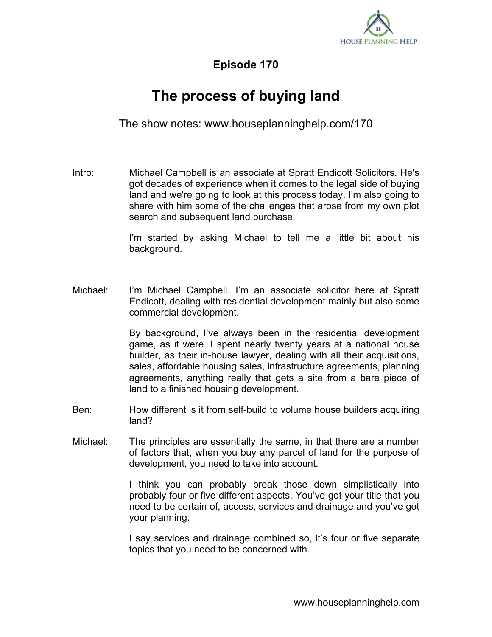

**Episode 170**

## **The process of buying land**

The show notes: www.houseplanninghelp.com/170

Intro: Michael Campbell is an associate at Spratt Endicott Solicitors. He's got decades of experience when it comes to the legal side of buying land and we're going to look at this process today. I'm also going to share with him some of the challenges that arose from my own plot search and subsequent land purchase.

> I'm started by asking Michael to tell me a little bit about his background.

Michael: I'm Michael Campbell. I'm an associate solicitor here at Spratt Endicott, dealing with residential development mainly but also some commercial development.

> By background, I've always been in the residential development game, as it were. I spent nearly twenty years at a national house builder, as their in-house lawyer, dealing with all their acquisitions, sales, affordable housing sales, infrastructure agreements, planning agreements, anything really that gets a site from a bare piece of land to a finished housing development.

- Ben: How different is it from self-build to volume house builders acquiring land?
- Michael: The principles are essentially the same, in that there are a number of factors that, when you buy any parcel of land for the purpose of development, you need to take into account.

I think you can probably break those down simplistically into probably four or five different aspects. You've got your title that you need to be certain of, access, services and drainage and you've got your planning.

I say services and drainage combined so, it's four or five separate topics that you need to be concerned with.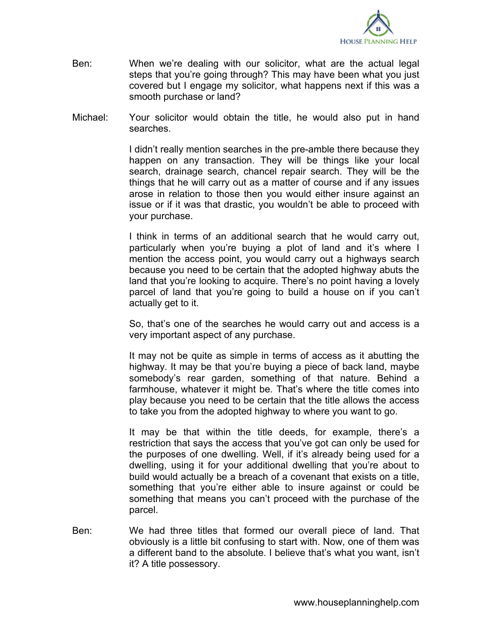

- Ben: When we're dealing with our solicitor, what are the actual legal steps that you're going through? This may have been what you just covered but I engage my solicitor, what happens next if this was a smooth purchase or land?
- Michael: Your solicitor would obtain the title, he would also put in hand searches.

I didn't really mention searches in the pre-amble there because they happen on any transaction. They will be things like your local search, drainage search, chancel repair search. They will be the things that he will carry out as a matter of course and if any issues arose in relation to those then you would either insure against an issue or if it was that drastic, you wouldn't be able to proceed with your purchase.

I think in terms of an additional search that he would carry out, particularly when you're buying a plot of land and it's where I mention the access point, you would carry out a highways search because you need to be certain that the adopted highway abuts the land that you're looking to acquire. There's no point having a lovely parcel of land that you're going to build a house on if you can't actually get to it.

So, that's one of the searches he would carry out and access is a very important aspect of any purchase.

It may not be quite as simple in terms of access as it abutting the highway. It may be that you're buying a piece of back land, maybe somebody's rear garden, something of that nature. Behind a farmhouse, whatever it might be. That's where the title comes into play because you need to be certain that the title allows the access to take you from the adopted highway to where you want to go.

It may be that within the title deeds, for example, there's a restriction that says the access that you've got can only be used for the purposes of one dwelling. Well, if it's already being used for a dwelling, using it for your additional dwelling that you're about to build would actually be a breach of a covenant that exists on a title, something that you're either able to insure against or could be something that means you can't proceed with the purchase of the parcel.

Ben: We had three titles that formed our overall piece of land. That obviously is a little bit confusing to start with. Now, one of them was a different band to the absolute. I believe that's what you want, isn't it? A title possessory.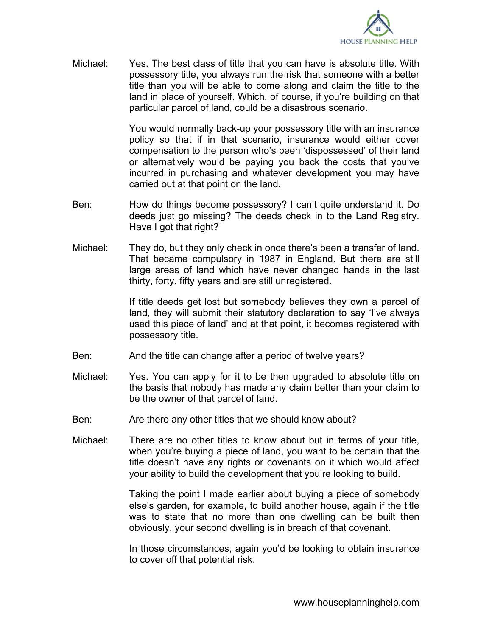

Michael: Yes. The best class of title that you can have is absolute title. With possessory title, you always run the risk that someone with a better title than you will be able to come along and claim the title to the land in place of yourself. Which, of course, if you're building on that particular parcel of land, could be a disastrous scenario.

> You would normally back-up your possessory title with an insurance policy so that if in that scenario, insurance would either cover compensation to the person who's been 'dispossessed' of their land or alternatively would be paying you back the costs that you've incurred in purchasing and whatever development you may have carried out at that point on the land.

- Ben: How do things become possessory? I can't quite understand it. Do deeds just go missing? The deeds check in to the Land Registry. Have I got that right?
- Michael: They do, but they only check in once there's been a transfer of land. That became compulsory in 1987 in England. But there are still large areas of land which have never changed hands in the last thirty, forty, fifty years and are still unregistered.

If title deeds get lost but somebody believes they own a parcel of land, they will submit their statutory declaration to say 'I've always used this piece of land' and at that point, it becomes registered with possessory title.

- Ben: And the title can change after a period of twelve years?
- Michael: Yes. You can apply for it to be then upgraded to absolute title on the basis that nobody has made any claim better than your claim to be the owner of that parcel of land.
- Ben: Are there any other titles that we should know about?
- Michael: There are no other titles to know about but in terms of your title, when you're buying a piece of land, you want to be certain that the title doesn't have any rights or covenants on it which would affect your ability to build the development that you're looking to build.

Taking the point I made earlier about buying a piece of somebody else's garden, for example, to build another house, again if the title was to state that no more than one dwelling can be built then obviously, your second dwelling is in breach of that covenant.

In those circumstances, again you'd be looking to obtain insurance to cover off that potential risk.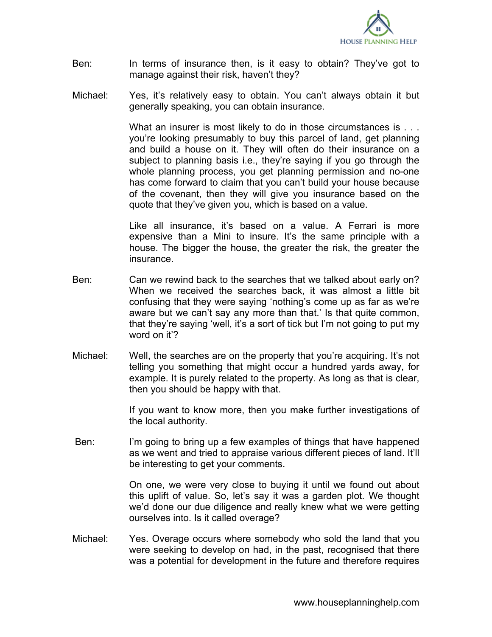

- Ben: In terms of insurance then, is it easy to obtain? They've got to manage against their risk, haven't they?
- Michael: Yes, it's relatively easy to obtain. You can't always obtain it but generally speaking, you can obtain insurance.

What an insurer is most likely to do in those circumstances is ... you're looking presumably to buy this parcel of land, get planning and build a house on it. They will often do their insurance on a subject to planning basis i.e., they're saying if you go through the whole planning process, you get planning permission and no-one has come forward to claim that you can't build your house because of the covenant, then they will give you insurance based on the quote that they've given you, which is based on a value.

Like all insurance, it's based on a value. A Ferrari is more expensive than a Mini to insure. It's the same principle with a house. The bigger the house, the greater the risk, the greater the insurance.

- Ben: Can we rewind back to the searches that we talked about early on? When we received the searches back, it was almost a little bit confusing that they were saying 'nothing's come up as far as we're aware but we can't say any more than that.' Is that quite common, that they're saying 'well, it's a sort of tick but I'm not going to put my word on it'?
- Michael: Well, the searches are on the property that you're acquiring. It's not telling you something that might occur a hundred yards away, for example. It is purely related to the property. As long as that is clear, then you should be happy with that.

If you want to know more, then you make further investigations of the local authority.

 Ben: I'm going to bring up a few examples of things that have happened as we went and tried to appraise various different pieces of land. It'll be interesting to get your comments.

> On one, we were very close to buying it until we found out about this uplift of value. So, let's say it was a garden plot. We thought we'd done our due diligence and really knew what we were getting ourselves into. Is it called overage?

Michael: Yes. Overage occurs where somebody who sold the land that you were seeking to develop on had, in the past, recognised that there was a potential for development in the future and therefore requires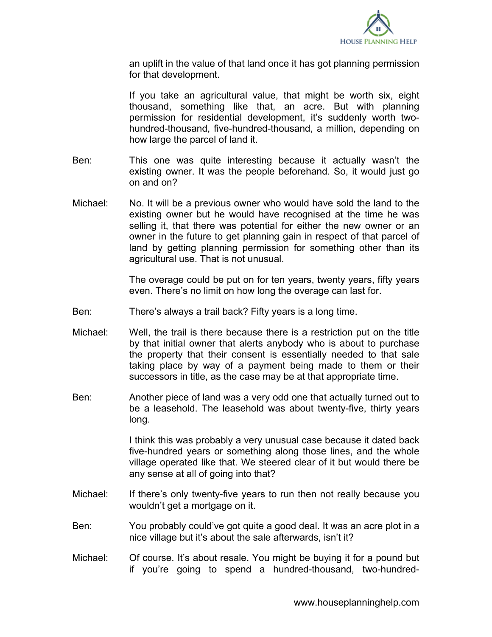

an uplift in the value of that land once it has got planning permission for that development.

If you take an agricultural value, that might be worth six, eight thousand, something like that, an acre. But with planning permission for residential development, it's suddenly worth twohundred-thousand, five-hundred-thousand, a million, depending on how large the parcel of land it.

- Ben: This one was quite interesting because it actually wasn't the existing owner. It was the people beforehand. So, it would just go on and on?
- Michael: No. It will be a previous owner who would have sold the land to the existing owner but he would have recognised at the time he was selling it, that there was potential for either the new owner or an owner in the future to get planning gain in respect of that parcel of land by getting planning permission for something other than its agricultural use. That is not unusual.

The overage could be put on for ten years, twenty years, fifty years even. There's no limit on how long the overage can last for.

- Ben: There's always a trail back? Fifty years is a long time.
- Michael: Well, the trail is there because there is a restriction put on the title by that initial owner that alerts anybody who is about to purchase the property that their consent is essentially needed to that sale taking place by way of a payment being made to them or their successors in title, as the case may be at that appropriate time.
- Ben: Another piece of land was a very odd one that actually turned out to be a leasehold. The leasehold was about twenty-five, thirty years long.

I think this was probably a very unusual case because it dated back five-hundred years or something along those lines, and the whole village operated like that. We steered clear of it but would there be any sense at all of going into that?

- Michael: If there's only twenty-five years to run then not really because you wouldn't get a mortgage on it.
- Ben: You probably could've got quite a good deal. It was an acre plot in a nice village but it's about the sale afterwards, isn't it?
- Michael: Of course. It's about resale. You might be buying it for a pound but if you're going to spend a hundred-thousand, two-hundred-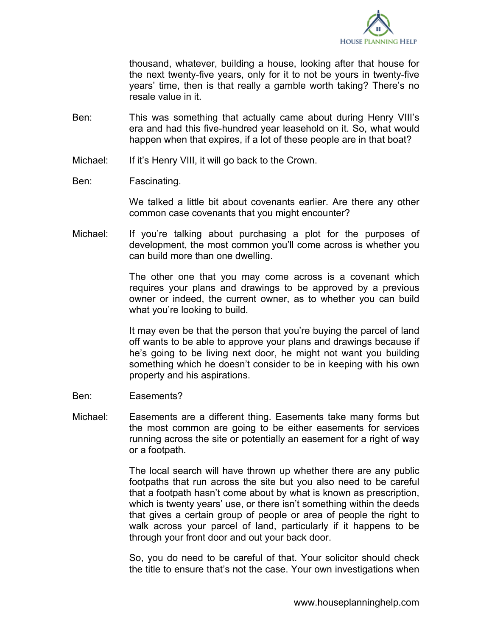

thousand, whatever, building a house, looking after that house for the next twenty-five years, only for it to not be yours in twenty-five years' time, then is that really a gamble worth taking? There's no resale value in it.

- Ben: This was something that actually came about during Henry VIII's era and had this five-hundred year leasehold on it. So, what would happen when that expires, if a lot of these people are in that boat?
- Michael: If it's Henry VIII, it will go back to the Crown.
- Ben: Fascinating.

We talked a little bit about covenants earlier. Are there any other common case covenants that you might encounter?

Michael: If you're talking about purchasing a plot for the purposes of development, the most common you'll come across is whether you can build more than one dwelling.

> The other one that you may come across is a covenant which requires your plans and drawings to be approved by a previous owner or indeed, the current owner, as to whether you can build what you're looking to build.

> It may even be that the person that you're buying the parcel of land off wants to be able to approve your plans and drawings because if he's going to be living next door, he might not want you building something which he doesn't consider to be in keeping with his own property and his aspirations.

- Ben: Easements?
- Michael: Easements are a different thing. Easements take many forms but the most common are going to be either easements for services running across the site or potentially an easement for a right of way or a footpath.

The local search will have thrown up whether there are any public footpaths that run across the site but you also need to be careful that a footpath hasn't come about by what is known as prescription, which is twenty years' use, or there isn't something within the deeds that gives a certain group of people or area of people the right to walk across your parcel of land, particularly if it happens to be through your front door and out your back door.

So, you do need to be careful of that. Your solicitor should check the title to ensure that's not the case. Your own investigations when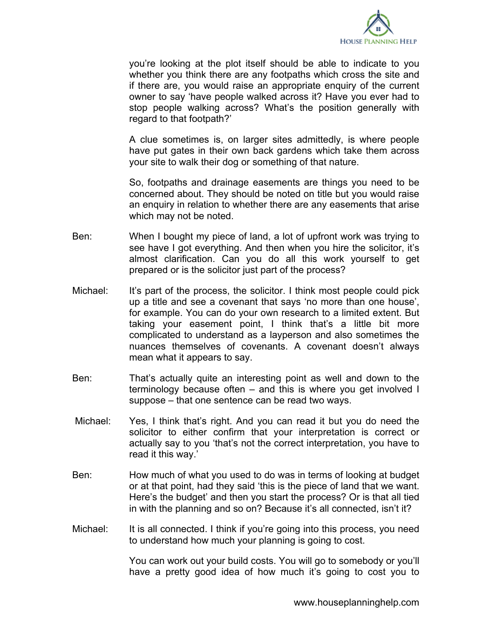

you're looking at the plot itself should be able to indicate to you whether you think there are any footpaths which cross the site and if there are, you would raise an appropriate enquiry of the current owner to say 'have people walked across it? Have you ever had to stop people walking across? What's the position generally with regard to that footpath?'

A clue sometimes is, on larger sites admittedly, is where people have put gates in their own back gardens which take them across your site to walk their dog or something of that nature.

So, footpaths and drainage easements are things you need to be concerned about. They should be noted on title but you would raise an enquiry in relation to whether there are any easements that arise which may not be noted.

- Ben: When I bought my piece of land, a lot of upfront work was trying to see have I got everything. And then when you hire the solicitor, it's almost clarification. Can you do all this work yourself to get prepared or is the solicitor just part of the process?
- Michael: It's part of the process, the solicitor. I think most people could pick up a title and see a covenant that says 'no more than one house', for example. You can do your own research to a limited extent. But taking your easement point, I think that's a little bit more complicated to understand as a layperson and also sometimes the nuances themselves of covenants. A covenant doesn't always mean what it appears to say.
- Ben: That's actually quite an interesting point as well and down to the terminology because often – and this is where you get involved I suppose – that one sentence can be read two ways.
- Michael: Yes, I think that's right. And you can read it but you do need the solicitor to either confirm that your interpretation is correct or actually say to you 'that's not the correct interpretation, you have to read it this way.'
- Ben: How much of what you used to do was in terms of looking at budget or at that point, had they said 'this is the piece of land that we want. Here's the budget' and then you start the process? Or is that all tied in with the planning and so on? Because it's all connected, isn't it?
- Michael: It is all connected. I think if you're going into this process, you need to understand how much your planning is going to cost.

You can work out your build costs. You will go to somebody or you'll have a pretty good idea of how much it's going to cost you to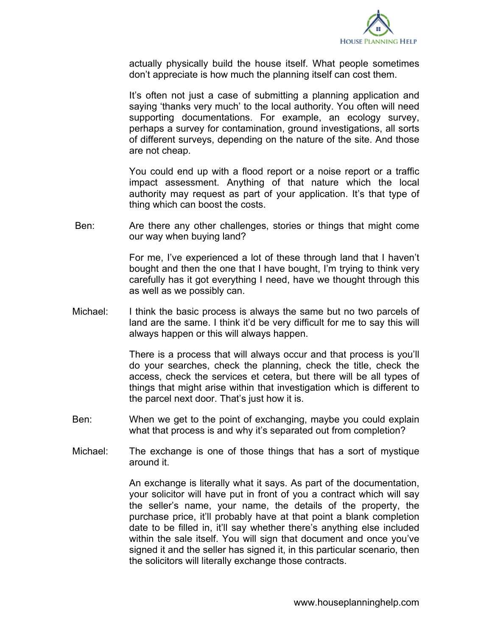

actually physically build the house itself. What people sometimes don't appreciate is how much the planning itself can cost them.

It's often not just a case of submitting a planning application and saying 'thanks very much' to the local authority. You often will need supporting documentations. For example, an ecology survey, perhaps a survey for contamination, ground investigations, all sorts of different surveys, depending on the nature of the site. And those are not cheap.

You could end up with a flood report or a noise report or a traffic impact assessment. Anything of that nature which the local authority may request as part of your application. It's that type of thing which can boost the costs.

Ben: Are there any other challenges, stories or things that might come our way when buying land?

> For me, I've experienced a lot of these through land that I haven't bought and then the one that I have bought, I'm trying to think very carefully has it got everything I need, have we thought through this as well as we possibly can.

Michael: I think the basic process is always the same but no two parcels of land are the same. I think it'd be very difficult for me to say this will always happen or this will always happen.

> There is a process that will always occur and that process is you'll do your searches, check the planning, check the title, check the access, check the services et cetera, but there will be all types of things that might arise within that investigation which is different to the parcel next door. That's just how it is.

- Ben: When we get to the point of exchanging, maybe you could explain what that process is and why it's separated out from completion?
- Michael: The exchange is one of those things that has a sort of mystique around it.

An exchange is literally what it says. As part of the documentation, your solicitor will have put in front of you a contract which will say the seller's name, your name, the details of the property, the purchase price, it'll probably have at that point a blank completion date to be filled in, it'll say whether there's anything else included within the sale itself. You will sign that document and once you've signed it and the seller has signed it, in this particular scenario, then the solicitors will literally exchange those contracts.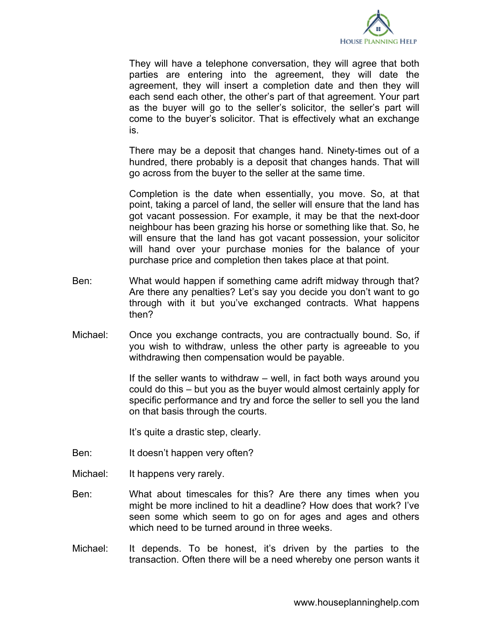

They will have a telephone conversation, they will agree that both parties are entering into the agreement, they will date the agreement, they will insert a completion date and then they will each send each other, the other's part of that agreement. Your part as the buyer will go to the seller's solicitor, the seller's part will come to the buyer's solicitor. That is effectively what an exchange is.

There may be a deposit that changes hand. Ninety-times out of a hundred, there probably is a deposit that changes hands. That will go across from the buyer to the seller at the same time.

Completion is the date when essentially, you move. So, at that point, taking a parcel of land, the seller will ensure that the land has got vacant possession. For example, it may be that the next-door neighbour has been grazing his horse or something like that. So, he will ensure that the land has got vacant possession, your solicitor will hand over your purchase monies for the balance of your purchase price and completion then takes place at that point.

- Ben: What would happen if something came adrift midway through that? Are there any penalties? Let's say you decide you don't want to go through with it but you've exchanged contracts. What happens then?
- Michael: Once you exchange contracts, you are contractually bound. So, if you wish to withdraw, unless the other party is agreeable to you withdrawing then compensation would be payable.

If the seller wants to withdraw – well, in fact both ways around you could do this – but you as the buyer would almost certainly apply for specific performance and try and force the seller to sell you the land on that basis through the courts.

It's quite a drastic step, clearly.

- Ben: It doesn't happen very often?
- Michael: It happens very rarely.
- Ben: What about timescales for this? Are there any times when you might be more inclined to hit a deadline? How does that work? I've seen some which seem to go on for ages and ages and others which need to be turned around in three weeks.
- Michael: It depends. To be honest, it's driven by the parties to the transaction. Often there will be a need whereby one person wants it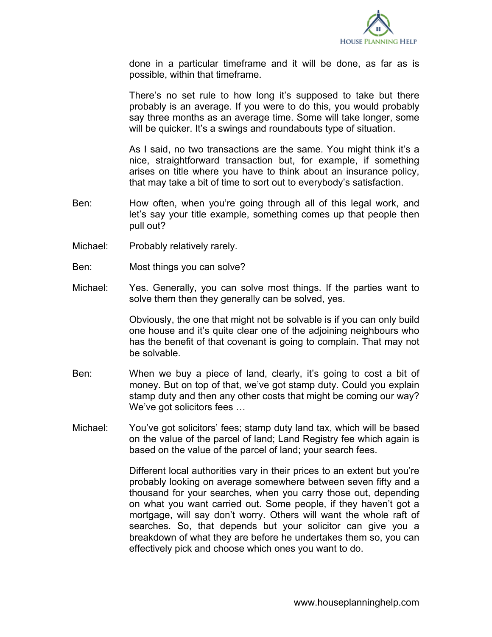

done in a particular timeframe and it will be done, as far as is possible, within that timeframe.

There's no set rule to how long it's supposed to take but there probably is an average. If you were to do this, you would probably say three months as an average time. Some will take longer, some will be quicker. It's a swings and roundabouts type of situation.

As I said, no two transactions are the same. You might think it's a nice, straightforward transaction but, for example, if something arises on title where you have to think about an insurance policy, that may take a bit of time to sort out to everybody's satisfaction.

- Ben: How often, when you're going through all of this legal work, and let's say your title example, something comes up that people then pull out?
- Michael: Probably relatively rarely.
- Ben: Most things you can solve?
- Michael: Yes. Generally, you can solve most things. If the parties want to solve them then they generally can be solved, yes.

Obviously, the one that might not be solvable is if you can only build one house and it's quite clear one of the adjoining neighbours who has the benefit of that covenant is going to complain. That may not be solvable.

- Ben: When we buy a piece of land, clearly, it's going to cost a bit of money. But on top of that, we've got stamp duty. Could you explain stamp duty and then any other costs that might be coming our way? We've got solicitors fees …
- Michael: You've got solicitors' fees; stamp duty land tax, which will be based on the value of the parcel of land; Land Registry fee which again is based on the value of the parcel of land; your search fees.

Different local authorities vary in their prices to an extent but you're probably looking on average somewhere between seven fifty and a thousand for your searches, when you carry those out, depending on what you want carried out. Some people, if they haven't got a mortgage, will say don't worry. Others will want the whole raft of searches. So, that depends but your solicitor can give you a breakdown of what they are before he undertakes them so, you can effectively pick and choose which ones you want to do.